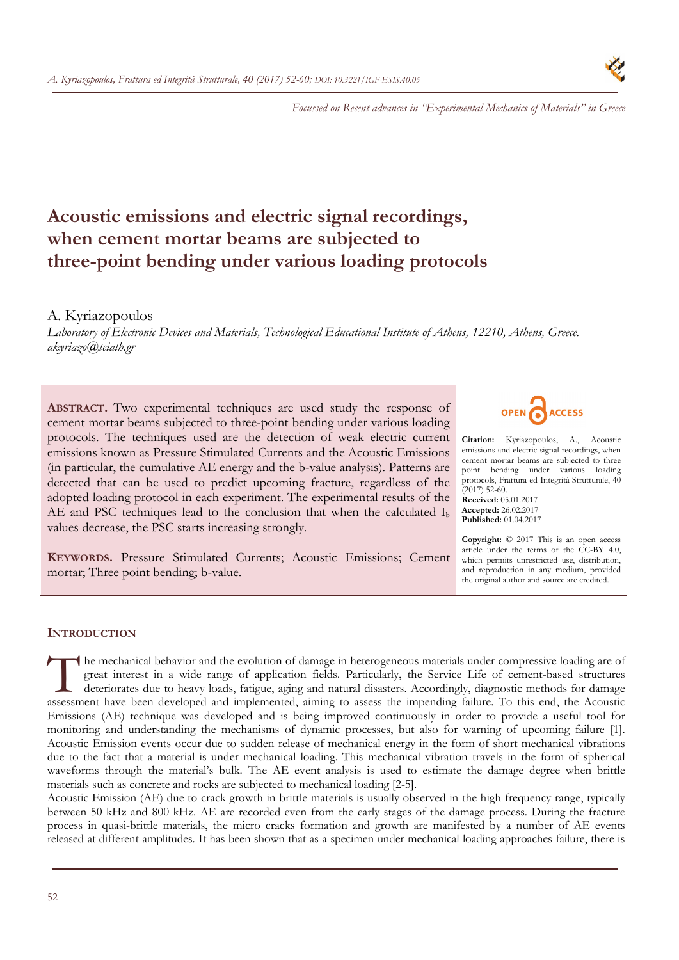

*Focussed on Recent advances in "Experimental Mechanics of Materials" in Greece* 

# **Acoustic emissions and electric signal recordings, when cement mortar beams are subjected to three-point bending under various loading protocols**

# A. Kyriazopoulos

*Laboratory of Electronic Devices and Materials, Technological Educational Institute of Athens, 12210, Athens, Greece. akyriazo@teiath.gr* 

**ABSTRACT.** Two experimental techniques are used study the response of cement mortar beams subjected to three-point bending under various loading protocols. The techniques used are the detection of weak electric current emissions known as Pressure Stimulated Currents and the Acoustic Emissions (in particular, the cumulative AE energy and the b-value analysis). Patterns are detected that can be used to predict upcoming fracture, regardless of the adopted loading protocol in each experiment. The experimental results of the AE and PSC techniques lead to the conclusion that when the calculated  $I<sub>b</sub>$ values decrease, the PSC starts increasing strongly.

**KEYWORDS.** Pressure Stimulated Currents; Acoustic Emissions; Cement mortar; Three point bending; b-value.



**Citation:** Kyriazopoulos, A., Acoustic emissions and electric signal recordings, when cement mortar beams are subjected to three point bending under various loading protocols, Frattura ed Integrità Strutturale, 40  $(2017)$  52-60.

**Received:** 05.01.2017 **Accepted:** 26.02.2017 **Published:** 01.04.2017

**Copyright:** © 2017 This is an open access article under the terms of the CC-BY 4.0, which permits unrestricted use, distribution, and reproduction in any medium, provided the original author and source are credited.

# **INTRODUCTION**

he mechanical behavior and the evolution of damage in heterogeneous materials under compressive loading are of great interest in a wide range of application fields. Particularly, the Service Life of cement-based structures deteriorates due to heavy loads, fatigue, aging and natural disasters. Accordingly, diagnostic methods for damage The mechanical behavior and the evolution of damage in heterogeneous materials under compressive loading are of great interest in a wide range of application fields. Particularly, the Service Life of cement-based structure Emissions (AE) technique was developed and is being improved continuously in order to provide a useful tool for monitoring and understanding the mechanisms of dynamic processes, but also for warning of upcoming failure [1]. Acoustic Emission events occur due to sudden release of mechanical energy in the form of short mechanical vibrations due to the fact that a material is under mechanical loading. This mechanical vibration travels in the form of spherical waveforms through the material's bulk. The AE event analysis is used to estimate the damage degree when brittle materials such as concrete and rocks are subjected to mechanical loading [2-5].

Acoustic Emission (AE) due to crack growth in brittle materials is usually observed in the high frequency range, typically between 50 kHz and 800 kHz. AE are recorded even from the early stages of the damage process. During the fracture process in quasi-brittle materials, the micro cracks formation and growth are manifested by a number of AE events released at different amplitudes. It has been shown that as a specimen under mechanical loading approaches failure, there is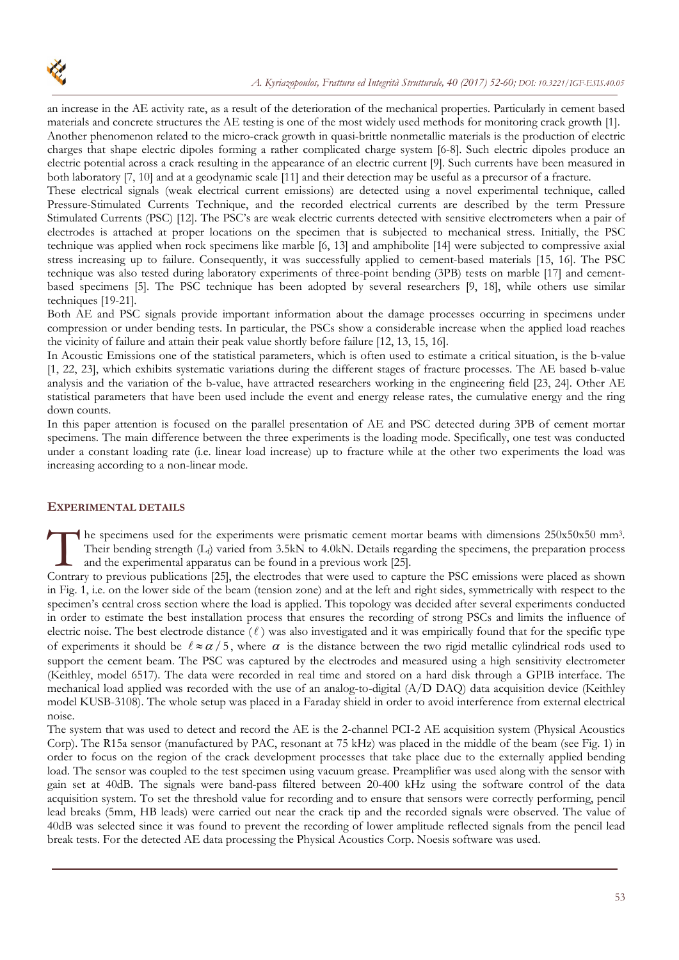

an increase in the AE activity rate, as a result of the deterioration of the mechanical properties. Particularly in cement based materials and concrete structures the AE testing is one of the most widely used methods for monitoring crack growth [1]. Another phenomenon related to the micro-crack growth in quasi-brittle nonmetallic materials is the production of electric charges that shape electric dipoles forming a rather complicated charge system [6-8]. Such electric dipoles produce an electric potential across a crack resulting in the appearance of an electric current [9]. Such currents have been measured in

both laboratory [7, 10] and at a geodynamic scale [11] and their detection may be useful as a precursor of a fracture. These electrical signals (weak electrical current emissions) are detected using a novel experimental technique, called Pressure-Stimulated Currents Technique, and the recorded electrical currents are described by the term Pressure Stimulated Currents (PSC) [12]. The PSC's are weak electric currents detected with sensitive electrometers when a pair of electrodes is attached at proper locations on the specimen that is subjected to mechanical stress. Initially, the PSC technique was applied when rock specimens like marble [6, 13] and amphibolite [14] were subjected to compressive axial stress increasing up to failure. Consequently, it was successfully applied to cement-based materials [15, 16]. The PSC technique was also tested during laboratory experiments of three-point bending (3PB) tests on marble [17] and cementbased specimens [5]. The PSC technique has been adopted by several researchers [9, 18], while others use similar techniques [19-21].

Both AE and PSC signals provide important information about the damage processes occurring in specimens under compression or under bending tests. In particular, the PSCs show a considerable increase when the applied load reaches the vicinity of failure and attain their peak value shortly before failure [12, 13, 15, 16].

In Acoustic Emissions one of the statistical parameters, which is often used to estimate a critical situation, is the b-value [1, 22, 23], which exhibits systematic variations during the different stages of fracture processes. The AE based b-value analysis and the variation of the b-value, have attracted researchers working in the engineering field [23, 24]. Other AE statistical parameters that have been used include the event and energy release rates, the cumulative energy and the ring down counts.

In this paper attention is focused on the parallel presentation of AE and PSC detected during 3PB of cement mortar specimens. The main difference between the three experiments is the loading mode. Specifically, one test was conducted under a constant loading rate (i.e. linear load increase) up to fracture while at the other two experiments the load was increasing according to a non-linear mode.

## **EXPERIMENTAL DETAILS**

he specimens used for the experiments were prismatic cement mortar beams with dimensions 250x50x50 mm3. Their bending strength (Lf) varied from 3.5kN to 4.0kN. Details regarding the specimens, the preparation process and the experimental apparatus can be found in a previous work [25]. Their bending strength (L<sub>t</sub>) varied from 3.5kN to 4.0kN. Details regarding the specimens, the preparation process and the experimental apparatus can be found in a previous work [25].<br>Contrary to previous publications [25]

in Fig. 1, i.e. on the lower side of the beam (tension zone) and at the left and right sides, symmetrically with respect to the specimen's central cross section where the load is applied. This topology was decided after several experiments conducted in order to estimate the best installation process that ensures the recording of strong PSCs and limits the influence of electric noise. The best electrode distance  $(\ell)$  was also investigated and it was empirically found that for the specific type of experiments it should be  $\ell \approx \alpha/5$ , where  $\alpha$  is the distance between the two rigid metallic cylindrical rods used to support the cement beam. The PSC was captured by the electrodes and measured using a high sensitivity electrometer (Keithley, model 6517). The data were recorded in real time and stored on a hard disk through a GPIB interface. The mechanical load applied was recorded with the use of an analog-to-digital (A/D DAQ) data acquisition device (Keithley model KUSB-3108). The whole setup was placed in a Faraday shield in order to avoid interference from external electrical noise.

The system that was used to detect and record the AE is the 2-channel PCI-2 AE acquisition system (Physical Acoustics Corp). The R15a sensor (manufactured by PAC, resonant at 75 kHz) was placed in the middle of the beam (see Fig. 1) in order to focus on the region of the crack development processes that take place due to the externally applied bending load. The sensor was coupled to the test specimen using vacuum grease. Preamplifier was used along with the sensor with gain set at 40dB. The signals were band-pass filtered between 20-400 kHz using the software control of the data acquisition system. To set the threshold value for recording and to ensure that sensors were correctly performing, pencil lead breaks (5mm, HB leads) were carried out near the crack tip and the recorded signals were observed. The value of 40dB was selected since it was found to prevent the recording of lower amplitude reflected signals from the pencil lead break tests. For the detected AE data processing the Physical Acoustics Corp. Noesis software was used.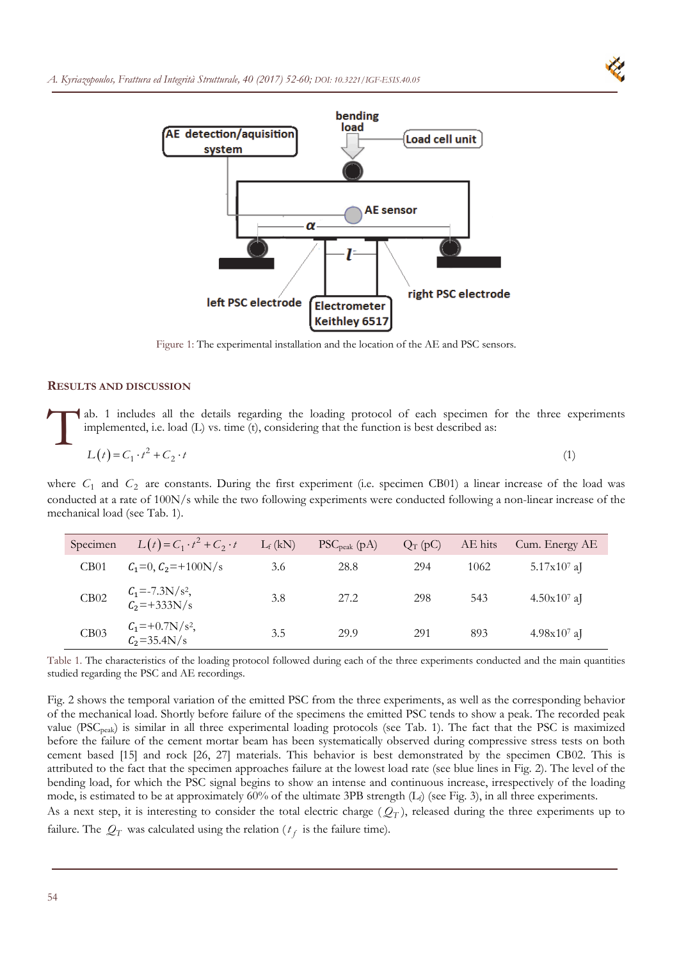



Figure 1: The experimental installation and the location of the AE and PSC sensors.

## **RESULTS AND DISCUSSION**

ab. 1 includes all the details regarding the loading protocol of each specimen for the three experiments implemented, i.e. load (L) vs. time (t), considering that the function is best described as:  $\prod^{\text{ab}}_{\text{im}}$ 

$$
L(t) = C_1 \cdot t^2 + C_2 \cdot t \tag{1}
$$

where  $C_1$  and  $C_2$  are constants. During the first experiment (i.e. specimen CB01) a linear increase of the load was conducted at a rate of 100N/s while the two following experiments were conducted following a non-linear increase of the mechanical load (see Tab. 1).

| Specimen         | $L(t) = C_1 \cdot t^2 + C_2 \cdot t$                  | $L_f(kN)$ | $PSC_{peak}$ (pA) | $Q_T(pC)$ | AE hits | Cum. Energy AE |
|------------------|-------------------------------------------------------|-----------|-------------------|-----------|---------|----------------|
| CB <sub>01</sub> | $C_1=0, C_2=+100N/s$                                  | 3.6       | 28.8              | 294       | 1062    | $5.17x10^7$ aJ |
| CB02             | $C_1 = -7.3 \text{N/s}^2,$<br>$C_2 = +333 \text{N/s}$ | 3.8       | 27.2              | 298       | 543     | $4.50x107$ aJ  |
| CB03             | $C_1 = +0.7N/s^2,$<br>$C_2 = 35.4N/s$                 | 3.5       | 29.9              | 291       | 893     | $4.98x107$ aJ  |

Table 1. The characteristics of the loading protocol followed during each of the three experiments conducted and the main quantities studied regarding the PSC and AE recordings.

Fig. 2 shows the temporal variation of the emitted PSC from the three experiments, as well as the corresponding behavior of the mechanical load. Shortly before failure of the specimens the emitted PSC tends to show a peak. The recorded peak value (PSCpeak) is similar in all three experimental loading protocols (see Tab. 1). The fact that the PSC is maximized before the failure of the cement mortar beam has been systematically observed during compressive stress tests on both cement based [15] and rock [26, 27] materials. This behavior is best demonstrated by the specimen CB02. This is attributed to the fact that the specimen approaches failure at the lowest load rate (see blue lines in Fig. 2). The level of the bending load, for which the PSC signal begins to show an intense and continuous increase, irrespectively of the loading mode, is estimated to be at approximately  $60\%$  of the ultimate 3PB strength  $(L<sub>f</sub>)$  (see Fig. 3), in all three experiments. As a next step, it is interesting to consider the total electric charge  $(Q_T)$ , released during the three experiments up to

failure. The  $Q_T$  was calculated using the relation ( $t_f$  is the failure time).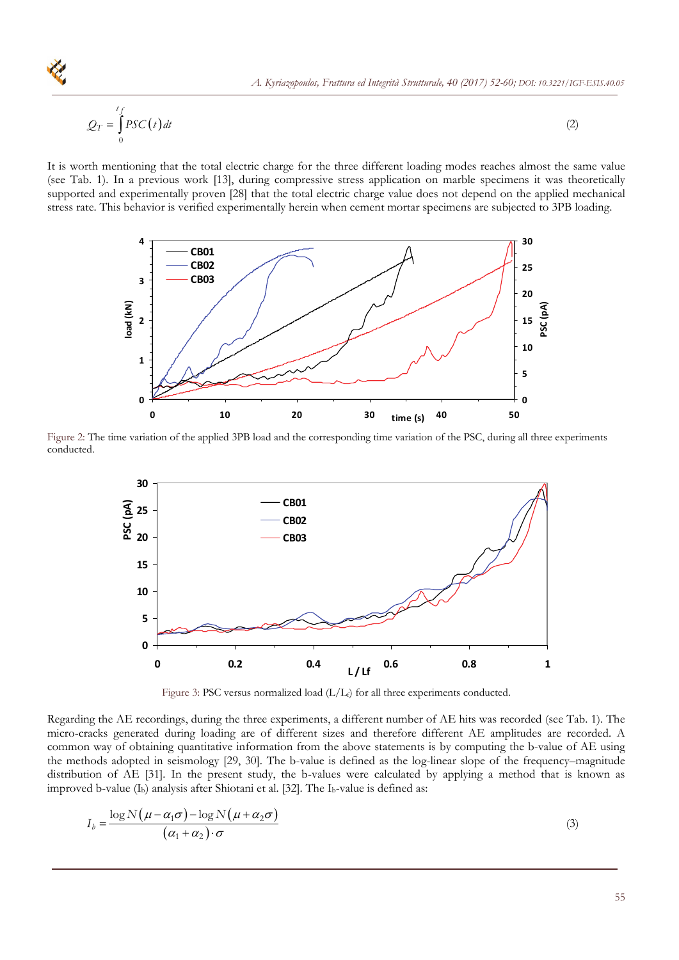$$
\mathcal{Q}_T = \int_0^{t_f} PSC(t) dt
$$
\n
$$
\mathcal{Q}_T = \int_0^{t_f} PSC(t) dt
$$
\n
$$
(2)
$$
\n
$$
(2)
$$

It is worth mentioning that the total electric charge for the three different loading modes reaches almost the same value (see Tab. 1). In a previous work [13], during compressive stress application on marble specimens it was theoretically supported and experimentally proven [28] that the total electric charge value does not depend on the applied mechanical stress rate. This behavior is verified experimentally herein when cement mortar specimens are subjected to 3PB loading.



Figure 2: The time variation of the applied 3PB load and the corresponding time variation of the PSC, during all three experiments conducted.



Figure 3: PSC versus normalized load  $(L/L_f)$  for all three experiments conducted.

Regarding the AE recordings, during the three experiments, a different number of AE hits was recorded (see Tab. 1). The micro-cracks generated during loading are of different sizes and therefore different AE amplitudes are recorded. A common way of obtaining quantitative information from the above statements is by computing the b-value of AE using the methods adopted in seismology [29, 30]. The b-value is defined as the log-linear slope of the frequency–magnitude distribution of AE [31]. In the present study, the b-values were calculated by applying a method that is known as improved b-value  $(I_b)$  analysis after Shiotani et al. [32]. The  $I_b$ -value is defined as:

$$
I_b = \frac{\log N(\mu - \alpha_1 \sigma) - \log N(\mu + \alpha_2 \sigma)}{(\alpha_1 + \alpha_2) \cdot \sigma}
$$
\n(3)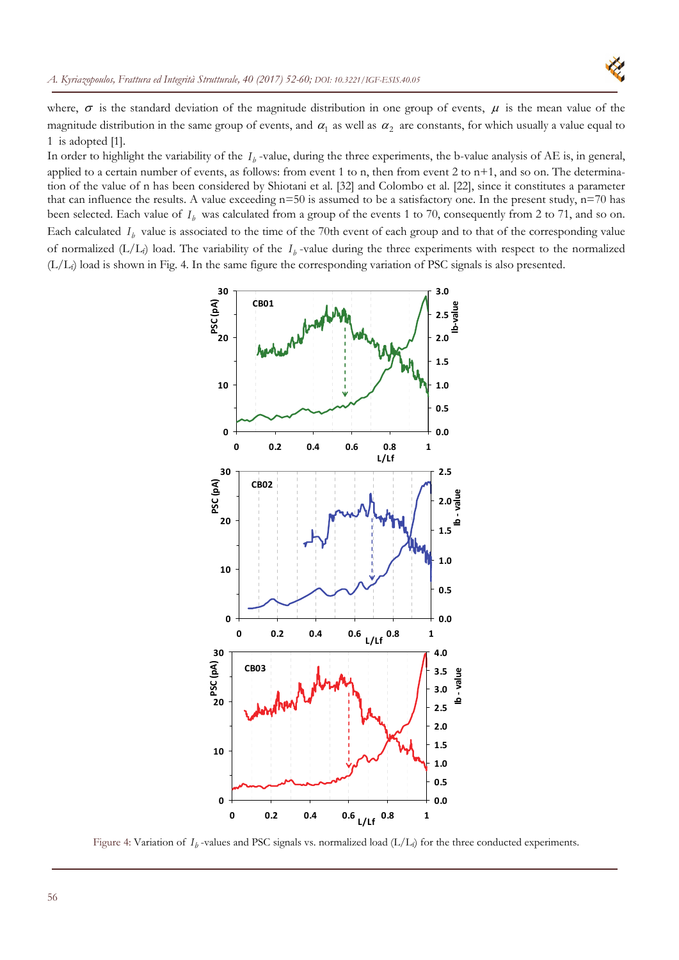

where,  $\sigma$  is the standard deviation of the magnitude distribution in one group of events,  $\mu$  is the mean value of the magnitude distribution in the same group of events, and  $\alpha_1$  as well as  $\alpha_2$  are constants, for which usually a value equal to 1 is adopted [1].

In order to highlight the variability of the  $I<sub>b</sub>$  -value, during the three experiments, the b-value analysis of AE is, in general, applied to a certain number of events, as follows: from event 1 to n, then from event 2 to  $n+1$ , and so on. The determination of the value of n has been considered by Shiotani et al. [32] and Colombo et al. [22], since it constitutes a parameter that can influence the results. A value exceeding  $n=50$  is assumed to be a satisfactory one. In the present study,  $n=70$  has been selected. Each value of  $I<sub>b</sub>$  was calculated from a group of the events 1 to 70, consequently from 2 to 71, and so on. Each calculated  $I<sub>b</sub>$  value is associated to the time of the 70th event of each group and to that of the corresponding value of normalized  $(L/L_f)$  load. The variability of the  $I_b$ -value during the three experiments with respect to the normalized (L/Lf) load is shown in Fig. 4. In the same figure the corresponding variation of PSC signals is also presented.



Figure 4: Variation of  $I_b$ -values and PSC signals vs. normalized load  $(L/L_f)$  for the three conducted experiments.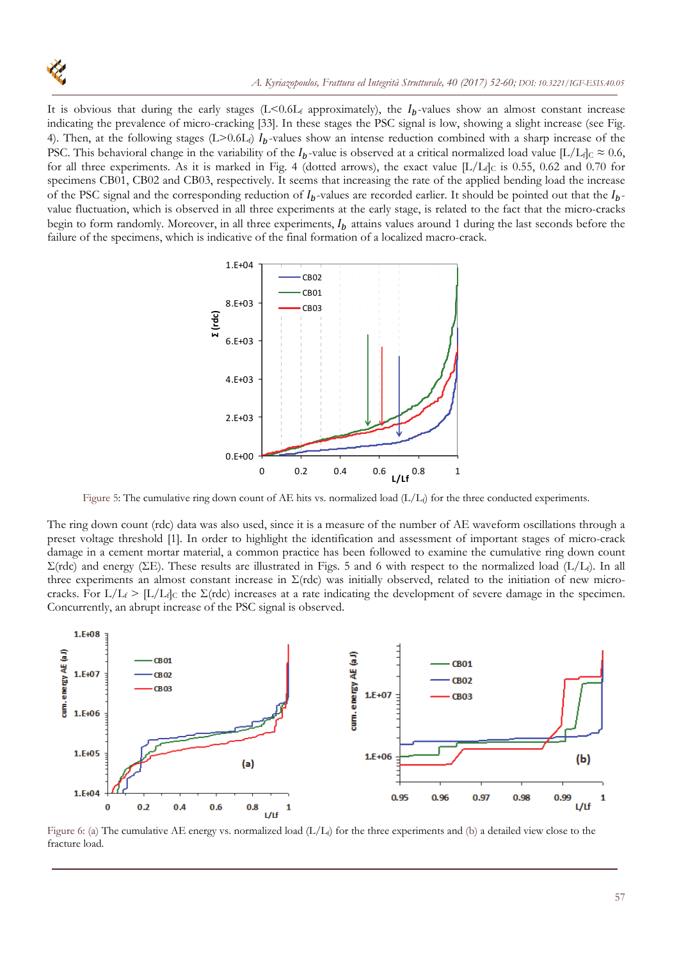

It is obvious that during the early stages  $(L<0.6L_f$  approximately), the  $I_b$ -values show an almost constant increase indicating the prevalence of micro-cracking [33]. In these stages the PSC signal is low, showing a slight increase (see Fig. 4). Then, at the following stages  $(L>0.6L_f) I_b$ -values show an intense reduction combined with a sharp increase of the PSC. This behavioral change in the variability of the  $I_b$ -value is observed at a critical normalized load value [L/L<sub>f]C</sub>  $\approx 0.6$ , for all three experiments. As it is marked in Fig. 4 (dotted arrows), the exact value  $[L/L_f]_C$  is 0.55, 0.62 and 0.70 for specimens CB01, CB02 and CB03, respectively. It seems that increasing the rate of the applied bending load the increase of the PSC signal and the corresponding reduction of  $I_b$ -values are recorded earlier. It should be pointed out that the  $I_b$ value fluctuation, which is observed in all three experiments at the early stage, is related to the fact that the micro-cracks begin to form randomly. Moreover, in all three experiments,  $I_b$  attains values around 1 during the last seconds before the failure of the specimens, which is indicative of the final formation of a localized macro-crack.



Figure 5: The cumulative ring down count of ΑΕ hits vs. normalized load (L/Lf) for the three conducted experiments.

The ring down count (rdc) data was also used, since it is a measure of the number of AE waveform oscillations through a preset voltage threshold [1]. In order to highlight the identification and assessment of important stages of micro-crack damage in a cement mortar material, a common practice has been followed to examine the cumulative ring down count  $\Sigma$ (rdc) and energy (ΣE). These results are illustrated in Figs. 5 and 6 with respect to the normalized load (L/L<sub>t</sub>). In all three experiments an almost constant increase in  $\Sigma$ (rdc) was initially observed, related to the initiation of new microcracks. For  $L/L_f > [L/L_f]$ c the  $\Sigma$ (rdc) increases at a rate indicating the development of severe damage in the specimen. Concurrently, an abrupt increase of the PSC signal is observed.



Figure 6: (a) The cumulative AE energy vs. normalized load  $(L/L<sub>f</sub>)$  for the three experiments and (b) a detailed view close to the fracture load.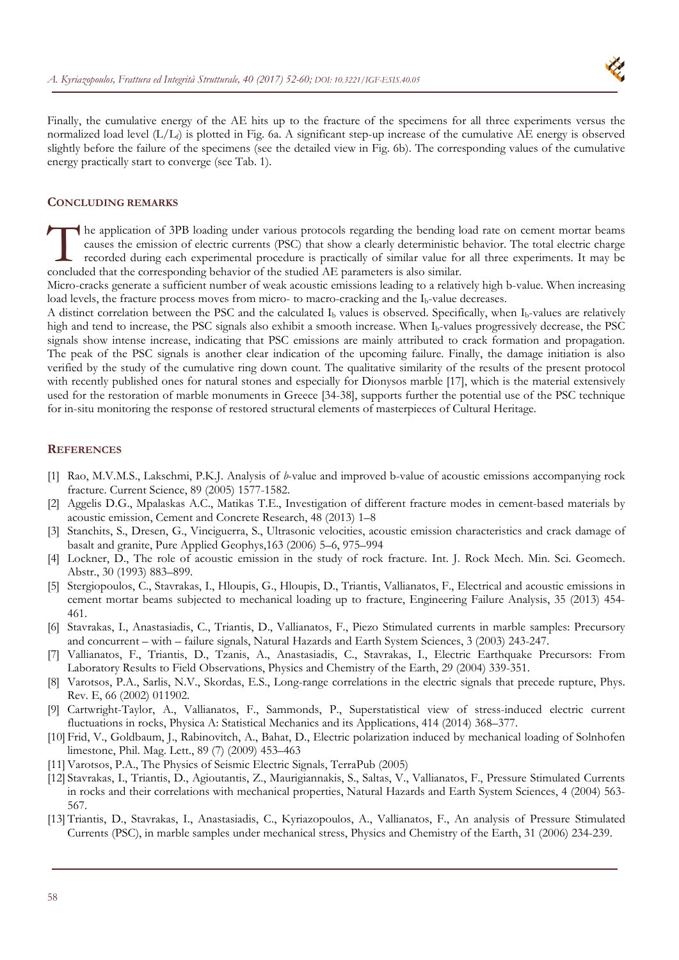

Finally, the cumulative energy of the AE hits up to the fracture of the specimens for all three experiments versus the normalized load level  $(L/L_f)$  is plotted in Fig. 6a. A significant step-up increase of the cumulative AE energy is observed slightly before the failure of the specimens (see the detailed view in Fig. 6b). The corresponding values of the cumulative energy practically start to converge (see Tab. 1).

### **CONCLUDING REMARKS**

he application of 3PB loading under various protocols regarding the bending load rate on cement mortar beams causes the emission of electric currents (PSC) that show a clearly deterministic behavior. The total electric charge recorded during each experimental procedure is practically of similar value for all three experiments. It may be The application of 3PB loading under various protocols regarding the bending locauses the emission of electric currents (PSC) that show a clearly deterministic level recorded during each experimental procedure is practical

Micro-cracks generate a sufficient number of weak acoustic emissions leading to a relatively high b-value. When increasing load levels, the fracture process moves from micro- to macro-cracking and the I<sub>b</sub>-value decreases.

A distinct correlation between the PSC and the calculated  $I<sub>b</sub>$  values is observed. Specifically, when  $I<sub>b</sub>$ -values are relatively high and tend to increase, the PSC signals also exhibit a smooth increase. When I<sub>b</sub>-values progressively decrease, the PSC signals show intense increase, indicating that PSC emissions are mainly attributed to crack formation and propagation. The peak of the PSC signals is another clear indication of the upcoming failure. Finally, the damage initiation is also verified by the study of the cumulative ring down count. The qualitative similarity of the results of the present protocol with recently published ones for natural stones and especially for Dionysos marble [17], which is the material extensively used for the restoration of marble monuments in Greece [34-38], supports further the potential use of the PSC technique for in-situ monitoring the response of restored structural elements of masterpieces of Cultural Heritage.

#### **REFERENCES**

- [1] Rao, M.V.M.S., Lakschmi, P.K.J. Analysis of *b*-value and improved b-value of acoustic emissions accompanying rock fracture. Current Science, 89 (2005) 1577-1582.
- [2] Aggelis D.G., Mpalaskas A.C., Matikas T.E., Investigation of different fracture modes in cement-based materials by acoustic emission, Cement and Concrete Research, 48 (2013) 1–8
- [3] Stanchits, S., Dresen, G., Vinciguerra, S., Ultrasonic velocities, acoustic emission characteristics and crack damage of basalt and granite, Pure Applied Geophys,163 (2006) 5–6, 975–994
- [4] Lockner, D., The role of acoustic emission in the study of rock fracture. Int. J. Rock Mech. Min. Sci. Geomech. Abstr., 30 (1993) 883–899.
- [5] Stergiopoulos, C., Stavrakas, I., Hloupis, G., Hloupis, D., Triantis, Vallianatos, F., Electrical and acoustic emissions in cement mortar beams subjected to mechanical loading up to fracture, Engineering Failure Analysis, 35 (2013) 454- 461.
- [6] Stavrakas, Ι., Anastasiadis, C., Triantis, D., Vallianatos, F., Piezo Stimulated currents in marble samples: Precursory and concurrent – with – failure signals, Natural Hazards and Earth System Sciences, 3 (2003) 243-247.
- [7] Vallianatos, F., Triantis, D., Tzanis, A., Anastasiadis, C., Stavrakas, I., Electric Earthquake Precursors: From Laboratory Results to Field Observations, Physics and Chemistry of the Earth, 29 (2004) 339-351.
- [8] Varotsos, P.A., Sarlis, N.V., Skordas, E.S., Long-range correlations in the electric signals that precede rupture, Phys. Rev. E, 66 (2002) 011902.
- [9] Cartwright-Taylor, A., Vallianatos, F., Sammonds, P., Superstatistical view of stress-induced electric current fluctuations in rocks, Physica A: Statistical Mechanics and its Applications, 414 (2014) 368–377.
- [10] Frid, V., Goldbaum, J., Rabinovitch, A., Bahat, D., Electric polarization induced by mechanical loading of Solnhofen limestone, Phil. Mag. Lett., 89 (7) (2009) 453–463
- [11]Varotsos, P.A., The Physics of Seismic Electric Signals, TerraPub (2005)
- [12] Stavrakas, Ι., Triantis, D., Agioutantis, Z., Maurigiannakis, S., Saltas, V., Vallianatos, F., Pressure Stimulated Currents in rocks and their correlations with mechanical properties, Natural Hazards and Earth System Sciences, 4 (2004) 563- 567.
- [13] Triantis, D., Stavrakas, I., Anastasiadis, C., Kyriazopoulos, A., Vallianatos, F., An analysis of Pressure Stimulated Currents (PSC), in marble samples under mechanical stress, Physics and Chemistry of the Earth, 31 (2006) 234-239.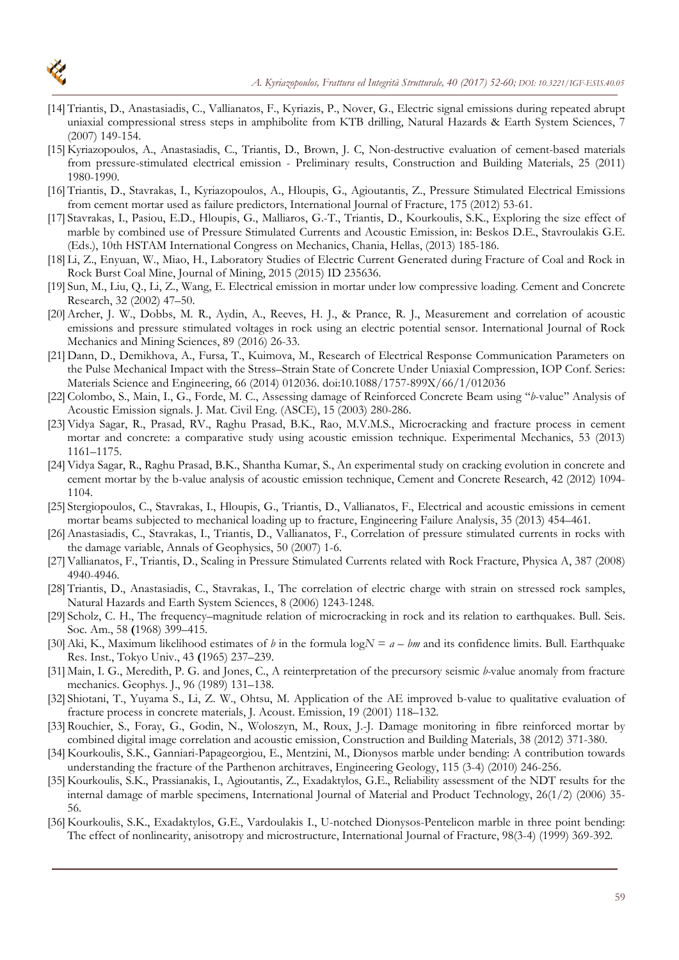

- [14] Triantis, D., Anastasiadis, C., Vallianatos, F., Kyriazis, P., Nover, G., Electric signal emissions during repeated abrupt uniaxial compressional stress steps in amphibolite from KTB drilling, Natural Hazards & Earth System Sciences, 7 (2007) 149-154.
- [15] Kyriazopoulos, A., Anastasiadis, C., Triantis, D., Brown, J. C, Non-destructive evaluation of cement-based materials from pressure-stimulated electrical emission - Preliminary results, Construction and Building Materials, 25 (2011) 1980-1990.
- [16] Triantis, D., Stavrakas, I., Kyriazopoulos, A., Hloupis, G., Agioutantis, Z., Pressure Stimulated Electrical Emissions from cement mortar used as failure predictors, International Journal of Fracture, 175 (2012) 53-61.
- [17] Stavrakas, I., Pasiou, E.D., Hloupis, G., Malliaros, G.-T., Triantis, D., Kourkoulis, S.K., Exploring the size effect of marble by combined use of Pressure Stimulated Currents and Acoustic Emission, in: Beskos D.E., Stavroulakis G.E. (Eds.), 10th HSTAM International Congress on Mechanics, Chania, Hellas, (2013) 185-186.
- [18] Li, Z., Enyuan, W., Miao, H., Laboratory Studies of Electric Current Generated during Fracture of Coal and Rock in Rock Burst Coal Mine, Journal of Mining, 2015 (2015) ID 235636.
- [19] Sun, M., Liu, Q., Li, Z., Wang, E. Electrical emission in mortar under low compressive loading. Cement and Concrete Research, 32 (2002) 47–50.
- [20]Archer, J. W., Dobbs, M. R., Aydin, A., Reeves, H. J., & Prance, R. J., Measurement and correlation of acoustic emissions and pressure stimulated voltages in rock using an electric potential sensor. International Journal of Rock Mechanics and Mining Sciences, 89 (2016) 26-33.
- [21] Dann, D., Demikhova, A., Fursa, T., Kuimova, M., Research of Electrical Response Communication Parameters on the Pulse Mechanical Impact with the Stress–Strain State of Concrete Under Uniaxial Compression, IOP Conf. Series: Materials Science and Engineering, 66 (2014) 012036. doi:10.1088/1757-899X/66/1/012036
- [22] Colombo, S., Main, I., G., Forde, M. C., Assessing damage of Reinforced Concrete Beam using ''*b*-value'' Analysis of Acoustic Emission signals. J. Mat. Civil Eng. (ASCE), 15 (2003) 280-286.
- [23]Vidya Sagar, R., Prasad, RV., Raghu Prasad, B.K., Rao, M.V.M.S., Microcracking and fracture process in cement mortar and concrete: a comparative study using acoustic emission technique. Experimental Mechanics, 53 (2013) 1161–1175.
- [24]Vidya Sagar, R., Raghu Prasad, B.K., Shantha Kumar, S., An experimental study on cracking evolution in concrete and cement mortar by the b-value analysis of acoustic emission technique, Cement and Concrete Research, 42 (2012) 1094- 1104.
- [25] Stergiopoulos, C., Stavrakas, I., Hloupis, G., Triantis, D., Vallianatos, F., Electrical and acoustic emissions in cement mortar beams subjected to mechanical loading up to fracture, Engineering Failure Analysis, 35 (2013) 454–461.
- [26]Anastasiadis, C., Stavrakas, I., Triantis, D., Vallianatos, F., Correlation of pressure stimulated currents in rocks with the damage variable, Annals of Geophysics, 50 (2007) 1-6.
- [27]Vallianatos, F., Triantis, D., Scaling in Pressure Stimulated Currents related with Rock Fracture, Physica A, 387 (2008) 4940-4946.
- [28] Triantis, D., Anastasiadis, C., Stavrakas, I., The correlation of electric charge with strain on stressed rock samples, Natural Hazards and Earth System Sciences, 8 (2006) 1243-1248.
- [29] Scholz, C. H., The frequency–magnitude relation of microcracking in rock and its relation to earthquakes. Bull. Seis. Soc. Am., 58 **(**1968) 399–415.
- [30] Aki, K., Maximum likelihood estimates of *b* in the formula  $\log N = a bm$  and its confidence limits. Bull. Earthquake Res. Inst., Tokyo Univ., 43 **(**1965) 237–239.
- [31] Main, I. G., Meredith, P. G. and Jones, C., A reinterpretation of the precursory seismic *b-*value anomaly from fracture mechanics. Geophys. J., 96 (1989) 131–138.
- [32] Shiotani, T., Yuyama S., Li, Z. W., Ohtsu, M. Application of the AE improved b-value to qualitative evaluation of fracture process in concrete materials, J. Acoust. Emission, 19 (2001) 118–132.
- [33] Rouchier, S., Foray, G., Godin, N., Woloszyn, M., Roux, J.-J. Damage monitoring in fibre reinforced mortar by combined digital image correlation and acoustic emission, Construction and Building Materials, 38 (2012) 371-380.
- [34] Kourkoulis, S.K., Ganniari-Papageorgiou, E., Mentzini, M., Dionysos marble under bending: Α contribution towards understanding the fracture of the Parthenon architraves, Engineering Geology, 115 (3-4) (2010) 246-256.
- [35] Kourkoulis, S.K., Prassianakis, I., Agioutantis, Z., Exadaktylos, G.E., Reliability assessment of the NDT results for the internal damage of marble specimens, International Journal of Material and Product Technology, 26(1/2) (2006) 35- 56.
- [36] Kourkoulis, S.K., Exadaktylos, G.E., Vardoulakis I., U-notched Dionysos-Pentelicon marble in three point bending: The effect of nonlinearity, anisotropy and microstructure, International Journal of Fracture, 98(3-4) (1999) 369-392.